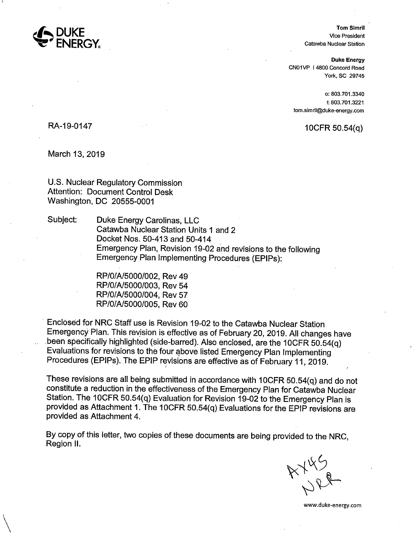

**Tom Simril**  Vice President Catawba Nuclear Station

**Duke Energy**  CN01VP 14800 Concord Road York, SC 29745

o: 803.701.3340 f: 803. 701.3221 tom.simril@duke-energy.com

 $10$ CFR 50.54 $(q)$ 

RA-19-0147

 $\setminus$ 

March 13, 2019

U.S. Nuclear Regulatory Commission Attention: Document Control Desk Washington, DC 20555-0001

Subject: Duke Energy Carolinas, LLC Catawba Nuclear Station Units 1 and 2 Docket Nos. 50-413 and 50-414 Emergency Plan, Revision 19-02 and revisions to the following Emergency Plan Implementing Procedures (EPIPs):

> RP/O/A/5000/002, Rev 49 RP/O/A/5000/003, Rev 54 RP/O/A/5000/004, Rev 57 RP/O/A/5000/005, Rev 60

· Enclosed for NRC Staff use is Revision 19-02 to the Catawba Nuclear Station Emergency Plan. This revision is effective as of February 20, 2019. All changes have .been specifically highlighted (side-barred). Also enclosed, are the 10CFR 50.54{q) Evaluations for revisions to the four above listed Emergency Plan Implementing Procedures (EPIPs). The EPIP revisions are effective as of February 11, 2019.

These revisions are all being submitted in accordance with 10CFR 50.54(q) and do not constitute a reduction in the effectiveness of the Emergency Plan for Catawba Nuclear Station. The 10CFR 50.54(q) Evaluation for Revision 19-02 to the Emergency Plan is provided as Attachment 1. The 10CFR 50.54(q) Evaluations for the EPIP revisions are provided as Attachment 4.

By copy of this letter, two copies of these documents are being provided to the NRC, Region II.

AYLS

www.duke-energy.com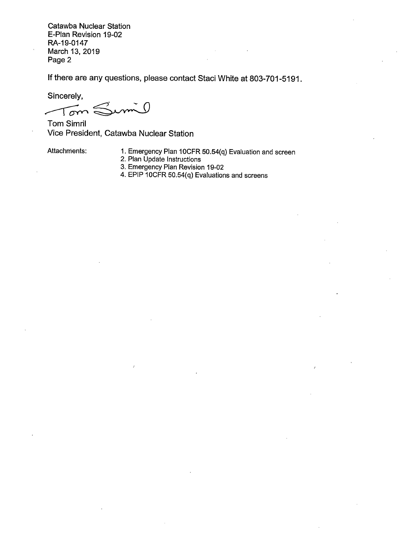Catawba Nuclear Station E-Plan Revision 19-02 RA-19-0147 March 13, 2019 Page 2

If there are any questions, please contact Staci White at 803-701-5191.

Sincerely,

 $m($  $Tom \in$ ~

Tom Simril Vice President, Catawba Nuclear Station

Attachments: 1. Emergency Plan 10CFR 50.54(q) Evaluation and screen

- 2. Plan Update Instructions
- 3. Emergency Plan Revision 19-02
- 4. EPIP 10CFR 50.54(q) Evaluations and screens